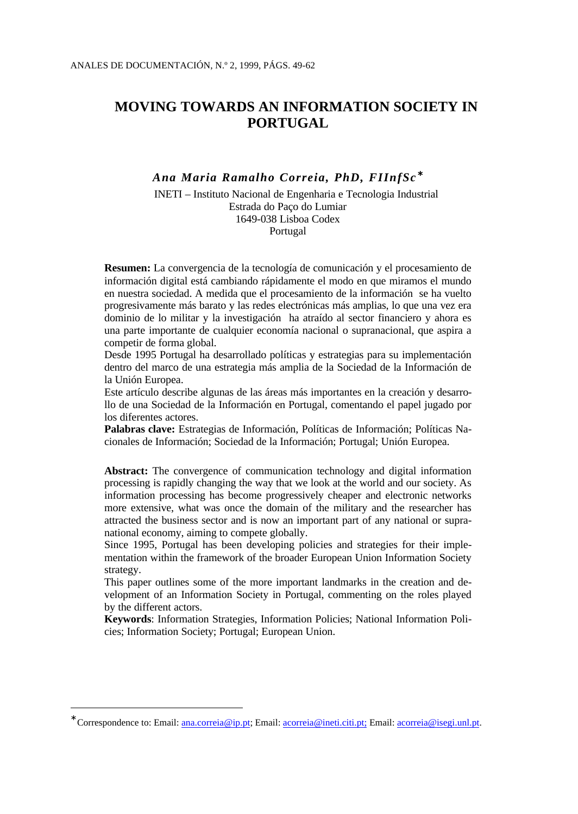# **MOVING TOWARDS AN INFORMATION SOCIETY IN PORTUGAL**

# *Ana Maria Ramalho Correia, PhD, FIInfSc* <sup>∗</sup>

INETI – Instituto Nacional de Engenharia e Tecnologia Industrial Estrada do Paço do Lumiar 1649-038 Lisboa Codex Portugal

**Resumen:** La convergencia de la tecnología de comunicación y el procesamiento de información digital está cambiando rápidamente el modo en que miramos el mundo en nuestra sociedad. A medida que el procesamiento de la información se ha vuelto progresivamente más barato y las redes electrónicas más amplias, lo que una vez era dominio de lo militar y la investigación ha atraído al sector financiero y ahora es una parte importante de cualquier economía nacional o supranacional, que aspira a competir de forma global.

Desde 1995 Portugal ha desarrollado políticas y estrategias para su implementación dentro del marco de una estrategia más amplia de la Sociedad de la Información de la Unión Europea.

Este artículo describe algunas de las áreas más importantes en la creación y desarrollo de una Sociedad de la Información en Portugal, comentando el papel jugado por los diferentes actores.

**Palabras clave:** Estrategias de Información, Políticas de Información; Políticas Nacionales de Información; Sociedad de la Información; Portugal; Unión Europea.

**Abstract:** The convergence of communication technology and digital information processing is rapidly changing the way that we look at the world and our society. As information processing has become progressively cheaper and electronic networks more extensive, what was once the domain of the military and the researcher has attracted the business sector and is now an important part of any national or supranational economy, aiming to compete globally.

Since 1995, Portugal has been developing policies and strategies for their implementation within the framework of the broader European Union Information Society strategy.

This paper outlines some of the more important landmarks in the creation and development of an Information Society in Portugal, commenting on the roles played by the different actors.

**Keywords**: Information Strategies, Information Policies; National Information Policies; Information Society; Portugal; European Union.

<sup>∗</sup> Correspondence to: Email: ana.correia@ip.pt; Email: acorreia@ineti.citi.pt; Email: acorreia@isegi.unl.pt.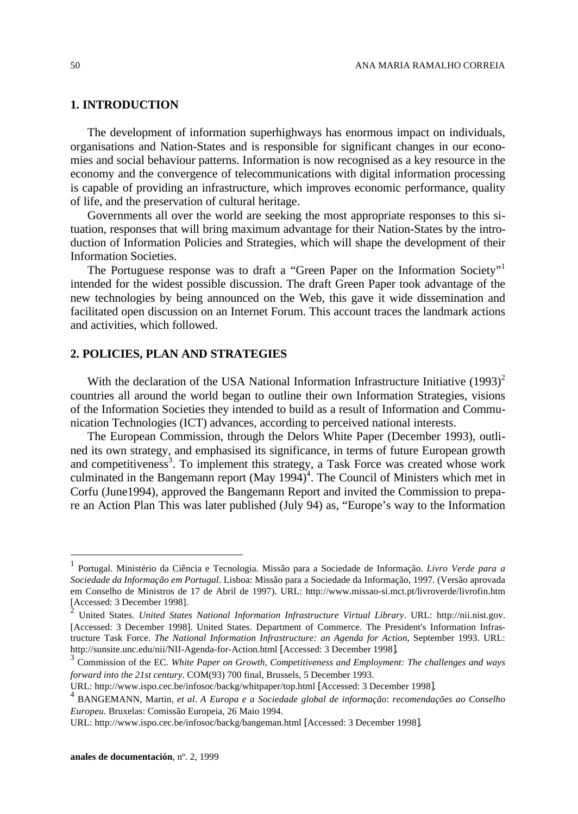## **1. INTRODUCTION**

The development of information superhighways has enormous impact on individuals, organisations and Nation-States and is responsible for significant changes in our economies and social behaviour patterns. Information is now recognised as a key resource in the economy and the convergence of telecommunications with digital information processing is capable of providing an infrastructure, which improves economic performance, quality of life, and the preservation of cultural heritage.

Governments all over the world are seeking the most appropriate responses to this situation, responses that will bring maximum advantage for their Nation-States by the introduction of Information Policies and Strategies, which will shape the development of their Information Societies.

The Portuguese response was to draft a "Green Paper on the Information Society"<sup>1</sup> intended for the widest possible discussion. The draft Green Paper took advantage of the new technologies by being announced on the Web, this gave it wide dissemination and facilitated open discussion on an Internet Forum. This account traces the landmark actions and activities, which followed.

## **2. POLICIES, PLAN AND STRATEGIES**

With the declaration of the USA National Information Infrastructure Initiative  $(1993)^2$ countries all around the world began to outline their own Information Strategies, visions of the Information Societies they intended to build as a result of Information and Communication Technologies (ICT) advances, according to perceived national interests.

The European Commission, through the Delors White Paper (December 1993), outlined its own strategy, and emphasised its significance, in terms of future European growth and competitiveness<sup>3</sup>. To implement this strategy, a Task Force was created whose work culminated in the Bangemann report (May 1994)<sup>4</sup>. The Council of Ministers which met in Corfu (June1994), approved the Bangemann Report and invited the Commission to prepare an Action Plan This was later published (July 94) as, "Europe's way to the Information

l

<sup>1</sup> Portugal. Ministério da Ciência e Tecnologia. Missão para a Sociedade de Informação. *Livro Verde para a Sociedade da Informação em Portugal*. Lisboa: Missão para a Sociedade da Informação, 1997. (Versão aprovada em Conselho de Ministros de 17 de Abril de 1997). URL: http://www.missao-si.mct.pt/livroverde/livrofin.htm [Accessed: 3 December 1998].

United States. *United States National Information Infrastructure Virtual Library*. URL: http://nii.nist.gov. [Accessed: 3 December 1998]. United States. Department of Commerce. The President's Information Infrastructure Task Force. *The National Information Infrastructure: an Agenda for Action*, September 1993. URL: http://sunsite.unc.edu/nii/NII-Agenda-for-Action.html [Accessed: 3 December 1998].

<sup>3</sup> Commission of the EC. *White Paper on Growth, Competitiveness and Employment: The challenges and ways forward into the 21st century*. COM(93) 700 final, Brussels, 5 December 1993.

URL: http://www.ispo.cec.be/infosoc/backg/whitpaper/top.html [Accessed: 3 December 1998].

<sup>4</sup> BANGEMANN, Martin, *et al*. *A Europa e a Sociedade global de informação*: *recomendações ao Conselho Europeu*. Bruxelas: Comissão Europeia, 26 Maio 1994.

URL: http://www.ispo.cec.be/infosoc/backg/bangeman.html [Accessed: 3 December 1998].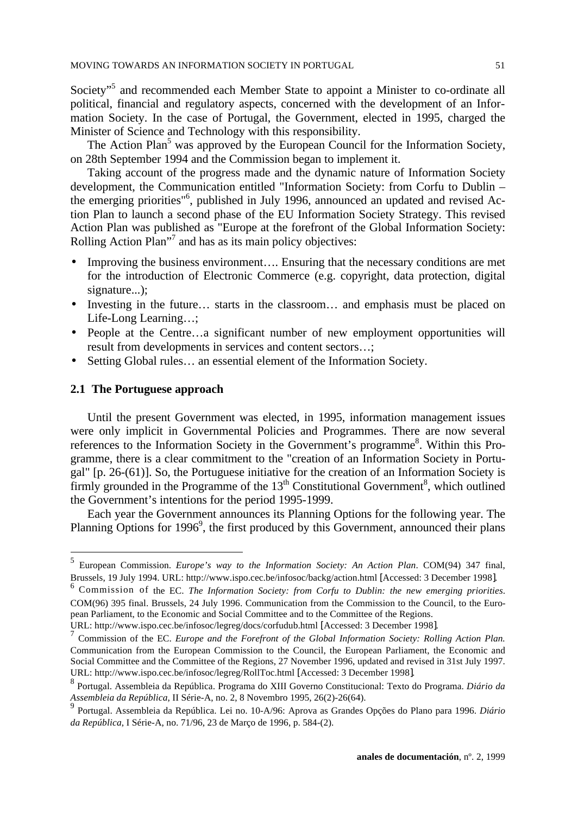Society"<sup>5</sup> and recommended each Member State to appoint a Minister to co-ordinate all political, financial and regulatory aspects, concerned with the development of an Information Society. In the case of Portugal, the Government, elected in 1995, charged the Minister of Science and Technology with this responsibility.

The Action Plan<sup>5</sup> was approved by the European Council for the Information Society, on 28th September 1994 and the Commission began to implement it.

Taking account of the progress made and the dynamic nature of Information Society development, the Communication entitled "Information Society: from Corfu to Dublin – the emerging priorities"<sup>6</sup>, published in July 1996, announced an updated and revised Action Plan to launch a second phase of the EU Information Society Strategy. This revised Action Plan was published as "Europe at the forefront of the Global Information Society: Rolling Action Plan"<sup>7</sup> and has as its main policy objectives:

- Improving the business environment.... Ensuring that the necessary conditions are met for the introduction of Electronic Commerce (e.g. copyright, data protection, digital signature...);
- Investing in the future... starts in the classroom... and emphasis must be placed on Life-Long Learning…;
- People at the Centre…a significant number of new employment opportunities will result from developments in services and content sectors…;
- Setting Global rules… an essential element of the Information Society.

## **2.1 The Portuguese approach**

Until the present Government was elected, in 1995, information management issues were only implicit in Governmental Policies and Programmes. There are now several references to the Information Society in the Government's programme<sup>8</sup>. Within this Programme, there is a clear commitment to the "creation of an Information Society in Portugal" [p. 26-(61)]. So, the Portuguese initiative for the creation of an Information Society is firmly grounded in the Programme of the  $13<sup>th</sup>$  Constitutional Government<sup>8</sup>, which outlined the Government's intentions for the period 1995-1999.

Each year the Government announces its Planning Options for the following year. The Planning Options for 1996<sup>9</sup>, the first produced by this Government, announced their plans

 5 European Commission. *Europe's way to the Information Society: An Action Plan*. COM(94) 347 final, Brussels, 19 July 1994. URL: http://www.ispo.cec.be/infosoc/backg/action.html [Accessed: 3 December 1998].

<sup>6</sup> Commission of the EC. *The Information Society: from Corfu to Dublin: the new emerging priorities*. COM(96) 395 final. Brussels, 24 July 1996. Communication from the Commission to the Council, to the European Parliament, to the Economic and Social Committee and to the Committee of the Regions.

URL: http://www.ispo.cec.be/infosoc/legreg/docs/corfudub.html [Accessed: 3 December 1998]. 7

Commission of the EC. *Europe and the Forefront of the Global Information Society: Rolling Action Plan.* Communication from the European Commission to the Council, the European Parliament, the Economic and Social Committee and the Committee of the Regions, 27 November 1996, updated and revised in 31st July 1997. URL: http://www.ispo.cec.be/infosoc/legreg/RollToc.html [Accessed: 3 December 1998].

<sup>8</sup> Portugal. Assembleia da República. Programa do XIII Governo Constitucional: Texto do Programa. *Diário da Assembleia da República*, II Série-A, no. 2, 8 Novembro 1995, 26(2)-26(64).

<sup>9</sup> Portugal. Assembleia da República. Lei no. 10-A/96: Aprova as Grandes Opções do Plano para 1996. *Diário da República*, I Série-A, no. 71/96, 23 de Março de 1996, p. 584-(2).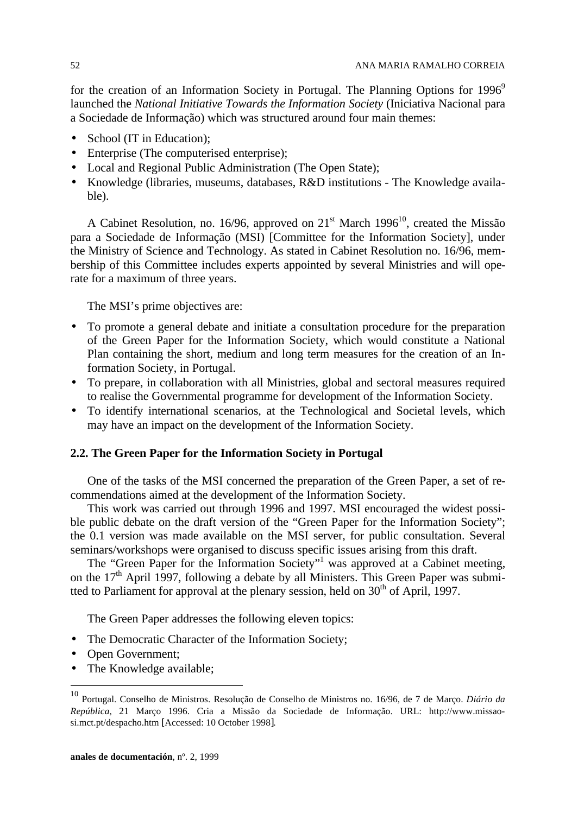for the creation of an Information Society in Portugal. The Planning Options for  $1996^\circ$ launched the *National Initiative Towards the Information Society* (Iniciativa Nacional para a Sociedade de Informação) which was structured around four main themes:

- School (IT in Education);
- Enterprise (The computerised enterprise);
- Local and Regional Public Administration (The Open State);
- Knowledge (libraries, museums, databases, R&D institutions The Knowledge available).

A Cabinet Resolution, no. 16/96, approved on  $21<sup>st</sup>$  March 1996<sup>10</sup>, created the Missão para a Sociedade de Informação (MSI) [Committee for the Information Society], under the Ministry of Science and Technology. As stated in Cabinet Resolution no. 16/96, membership of this Committee includes experts appointed by several Ministries and will operate for a maximum of three years.

The MSI's prime objectives are:

- To promote a general debate and initiate a consultation procedure for the preparation of the Green Paper for the Information Society, which would constitute a National Plan containing the short, medium and long term measures for the creation of an Information Society, in Portugal.
- To prepare, in collaboration with all Ministries, global and sectoral measures required to realise the Governmental programme for development of the Information Society.
- To identify international scenarios, at the Technological and Societal levels, which may have an impact on the development of the Information Society.

### **2.2. The Green Paper for the Information Society in Portugal**

One of the tasks of the MSI concerned the preparation of the Green Paper, a set of recommendations aimed at the development of the Information Society.

This work was carried out through 1996 and 1997. MSI encouraged the widest possible public debate on the draft version of the "Green Paper for the Information Society"; the 0.1 version was made available on the MSI server, for public consultation. Several seminars/workshops were organised to discuss specific issues arising from this draft.

The "Green Paper for the Information Society"<sup>1</sup> was approved at a Cabinet meeting, on the  $17<sup>th</sup>$  April 1997, following a debate by all Ministers. This Green Paper was submitted to Parliament for approval at the plenary session, held on 30<sup>th</sup> of April, 1997.

The Green Paper addresses the following eleven topics:

- The Democratic Character of the Information Society;
- Open Government;

-

• The Knowledge available;

<sup>10</sup> Portugal. Conselho de Ministros. Resolução de Conselho de Ministros no. 16/96, de 7 de Março. *Diário da República*, 21 Março 1996. Cria a Missão da Sociedade de Informação. URL: http://www.missaosi.mct.pt/despacho.htm [Accessed: 10 October 1998].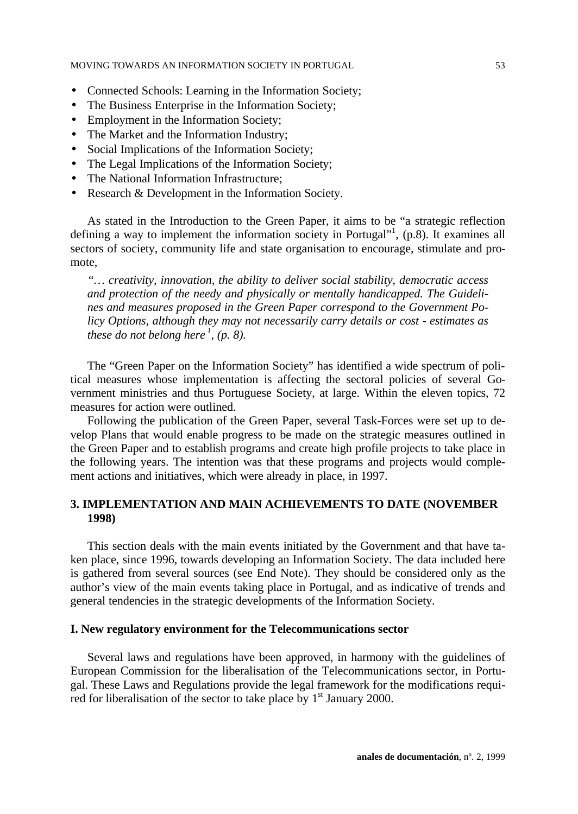- Connected Schools: Learning in the Information Society;
- The Business Enterprise in the Information Society;
- Employment in the Information Society;
- The Market and the Information Industry;
- Social Implications of the Information Society;
- The Legal Implications of the Information Society;
- The National Information Infrastructure;
- Research & Development in the Information Society.

As stated in the Introduction to the Green Paper, it aims to be "a strategic reflection defining a way to implement the information society in Portugal"<sup>1</sup>, (p.8). It examines all sectors of society, community life and state organisation to encourage, stimulate and promote,

*"… creativity, innovation, the ability to deliver social stability, democratic access and protection of the needy and physically or mentally handicapped. The Guidelines and measures proposed in the Green Paper correspond to the Government Policy Options, although they may not necessarily carry details or cost - estimates as these do not belong here <sup>1</sup> , (p. 8).*

The "Green Paper on the Information Society" has identified a wide spectrum of political measures whose implementation is affecting the sectoral policies of several Government ministries and thus Portuguese Society, at large. Within the eleven topics, 72 measures for action were outlined.

Following the publication of the Green Paper, several Task-Forces were set up to develop Plans that would enable progress to be made on the strategic measures outlined in the Green Paper and to establish programs and create high profile projects to take place in the following years. The intention was that these programs and projects would complement actions and initiatives, which were already in place, in 1997.

# **3. IMPLEMENTATION AND MAIN ACHIEVEMENTS TO DATE (NOVEMBER 1998)**

This section deals with the main events initiated by the Government and that have taken place, since 1996, towards developing an Information Society. The data included here is gathered from several sources (see End Note). They should be considered only as the author's view of the main events taking place in Portugal, and as indicative of trends and general tendencies in the strategic developments of the Information Society.

## **I. New regulatory environment for the Telecommunications sector**

Several laws and regulations have been approved, in harmony with the guidelines of European Commission for the liberalisation of the Telecommunications sector, in Portugal. These Laws and Regulations provide the legal framework for the modifications required for liberalisation of the sector to take place by  $1<sup>st</sup>$  January 2000.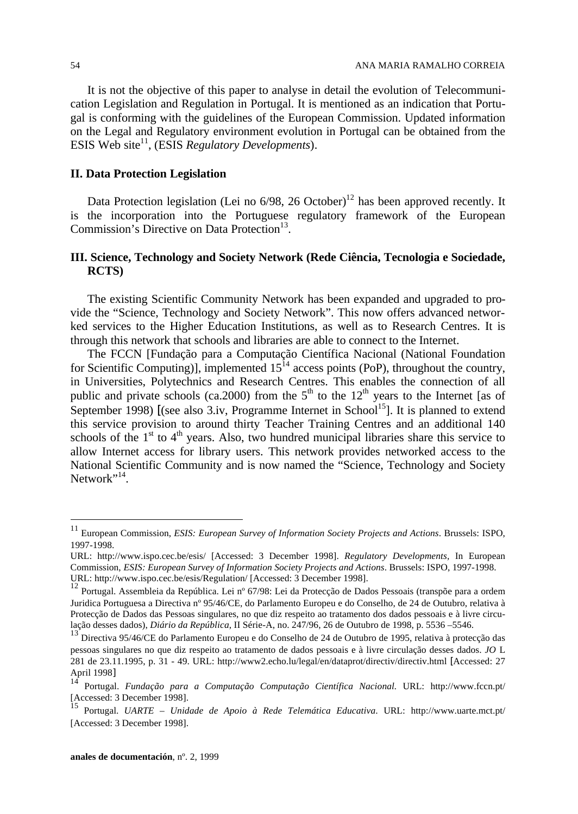It is not the objective of this paper to analyse in detail the evolution of Telecommunication Legislation and Regulation in Portugal. It is mentioned as an indication that Portugal is conforming with the guidelines of the European Commission. Updated information on the Legal and Regulatory environment evolution in Portugal can be obtained from the ESIS Web site<sup>11</sup>, (ESIS *Regulatory Developments*).

## **II. Data Protection Legislation**

Data Protection legislation (Lei no  $6/98$ , 26 October)<sup>12</sup> has been approved recently. It is the incorporation into the Portuguese regulatory framework of the European Commission's Directive on Data Protection<sup>13</sup>.

# **III. Science, Technology and Society Network (Rede Ciência, Tecnologia e Sociedade, RCTS)**

The existing Scientific Community Network has been expanded and upgraded to provide the "Science, Technology and Society Network". This now offers advanced networked services to the Higher Education Institutions, as well as to Research Centres. It is through this network that schools and libraries are able to connect to the Internet.

The FCCN [Fundação para a Computação Científica Nacional (National Foundation for Scientific Computing)], implemented  $15^{14}$  access points (PoP), throughout the country, in Universities, Polytechnics and Research Centres. This enables the connection of all public and private schools (ca.2000) from the  $5<sup>th</sup>$  to the 12<sup>th</sup> years to the Internet [as of September 1998) [(see also 3.iv, Programme Internet in School<sup>15</sup>]. It is planned to extend this service provision to around thirty Teacher Training Centres and an additional 140 schools of the  $1<sup>st</sup>$  to  $4<sup>th</sup>$  years. Also, two hundred municipal libraries share this service to allow Internet access for library users. This network provides networked access to the National Scientific Community and is now named the "Science, Technology and Society Network"<sup>14</sup>.

<sup>11</sup> European Commission, *ESIS: European Survey of Information Society Projects and Actions*. Brussels: ISPO, 1997-1998.

URL: http://www.ispo.cec.be/esis/ [Accessed: 3 December 1998]. *Regulatory Developments,* In European Commission, *ESIS: European Survey of Information Society Projects and Actions*. Brussels: ISPO, 1997-1998. URL: http://www.ispo.cec.be/esis/Regulation/ [Accessed: 3 December 1998].

<sup>12</sup> Portugal. Assembleia da República. Lei nº 67/98: Lei da Protecção de Dados Pessoais (transpõe para a ordem Juridica Portuguesa a Directiva nº 95/46/CE, do Parlamento Europeu e do Conselho, de 24 de Outubro, relativa à Protecção de Dados das Pessoas singulares, no que diz respeito ao tratamento dos dados pessoais e à livre circulação desses dados), *Diário da República*, II Série-A, no. 247/96, 26 de Outubro de 1998, p. 5536 –5546.

<sup>13</sup> Directiva 95/46/CE do Parlamento Europeu e do Conselho de 24 de Outubro de 1995, relativa à protecção das pessoas singulares no que diz respeito ao tratamento de dados pessoais e à livre circulação desses dados. *JO* L 281 de 23.11.1995, p. 31 - 49. URL: http://www2.echo.lu/legal/en/dataprot/directiv/directiv.html [Accessed: 27 April 1998]

<sup>14</sup> Portugal. *Fundação para a Computação Computação Científica Nacional.* URL: http://www.fccn.pt/ [Accessed: 3 December 1998].

<sup>15</sup> Portugal. *UARTE – Unidade de Apoio à Rede Telemática Educativa*. URL: http://www.uarte.mct.pt/ [Accessed: 3 December 1998].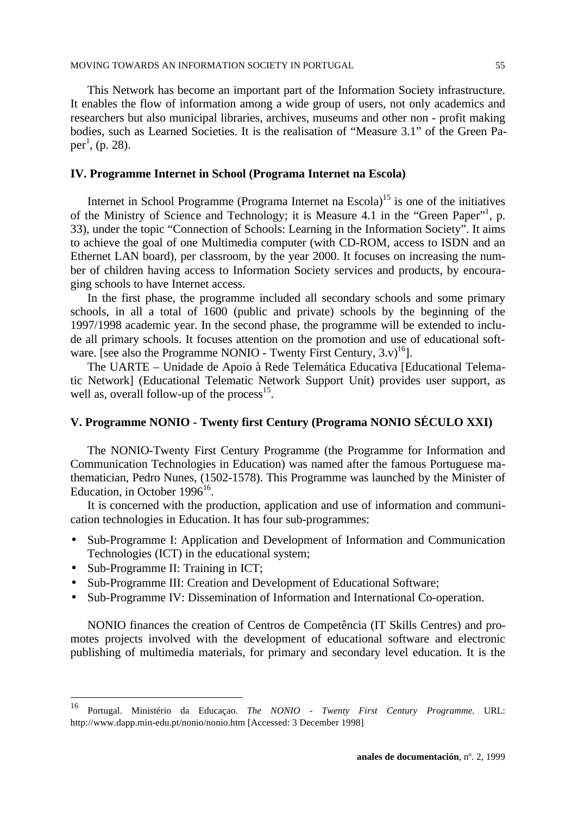This Network has become an important part of the Information Society infrastructure. It enables the flow of information among a wide group of users, not only academics and researchers but also municipal libraries, archives, museums and other non - profit making bodies, such as Learned Societies. It is the realisation of "Measure 3.1" of the Green Paper<sup>1</sup>, (p. 28).

## **IV. Programme Internet in School (Programa Internet na Escola)**

Internet in School Programme (Programa Internet na  $\text{Escola}^{15}$  is one of the initiatives of the Ministry of Science and Technology; it is Measure 4.1 in the "Green Paper"<sup>1</sup>, p. 33), under the topic "Connection of Schools: Learning in the Information Society". It aims to achieve the goal of one Multimedia computer (with CD-ROM, access to ISDN and an Ethernet LAN board), per classroom, by the year 2000. It focuses on increasing the number of children having access to Information Society services and products, by encouraging schools to have Internet access.

In the first phase, the programme included all secondary schools and some primary schools, in all a total of 1600 (public and private) schools by the beginning of the 1997/1998 academic year. In the second phase, the programme will be extended to include all primary schools. It focuses attention on the promotion and use of educational software. [see also the Programme NONIO - Twenty First Century, 3.v)<sup>16</sup>].

The UARTE – Unidade de Apoio à Rede Telemática Educativa [Educational Telematic Network] (Educational Telematic Network Support Unit) provides user support, as well as, overall follow-up of the process<sup>15</sup>.

# **V. Programme NONIO - Twenty first Century (Programa NONIO SÉCULO XXI)**

The NONIO-Twenty First Century Programme (the Programme for Information and Communication Technologies in Education) was named after the famous Portuguese mathematician, Pedro Nunes, (1502-1578). This Programme was launched by the Minister of Education, in October  $1996^{16}$ .

It is concerned with the production, application and use of information and communication technologies in Education. It has four sub-programmes:

- Sub-Programme I: Application and Development of Information and Communication Technologies (ICT) in the educational system;
- Sub-Programme II: Training in ICT;

-

- Sub-Programme III: Creation and Development of Educational Software;
- Sub-Programme IV: Dissemination of Information and International Co-operation.

NONIO finances the creation of Centros de Competência (IT Skills Centres) and promotes projects involved with the development of educational software and electronic publishing of multimedia materials, for primary and secondary level education. It is the

<sup>16</sup> Portugal. Ministério da Educaçao. *The NONIO - Twenty First Century Programme.* URL: http://www.dapp.min-edu.pt/nonio/nonio.htm [Accessed: 3 December 1998]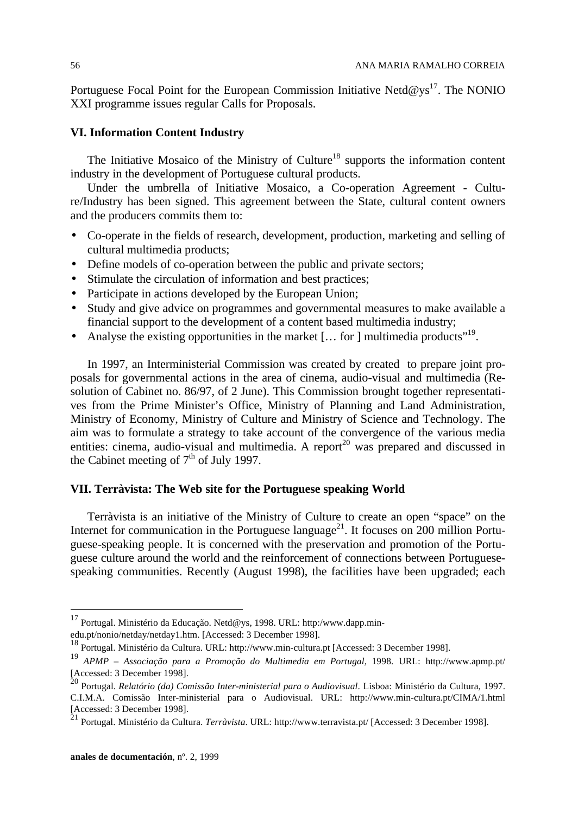Portuguese Focal Point for the European Commission Initiative Netd@ys<sup>17</sup>. The NONIO XXI programme issues regular Calls for Proposals.

# **VI. Information Content Industry**

The Initiative Mosaico of the Ministry of Culture<sup>18</sup> supports the information content industry in the development of Portuguese cultural products.

Under the umbrella of Initiative Mosaico, a Co-operation Agreement - Culture/Industry has been signed. This agreement between the State, cultural content owners and the producers commits them to:

- Co-operate in the fields of research, development, production, marketing and selling of cultural multimedia products;
- Define models of co-operation between the public and private sectors;
- Stimulate the circulation of information and best practices;
- Participate in actions developed by the European Union;
- Study and give advice on programmes and governmental measures to make available a financial support to the development of a content based multimedia industry;
- Analyse the existing opportunities in the market [... for ] multimedia products"<sup>19</sup>.

In 1997, an Interministerial Commission was created by created to prepare joint proposals for governmental actions in the area of cinema, audio-visual and multimedia (Resolution of Cabinet no. 86/97, of 2 June). This Commission brought together representatives from the Prime Minister's Office, Ministry of Planning and Land Administration, Ministry of Economy, Ministry of Culture and Ministry of Science and Technology. The aim was to formulate a strategy to take account of the convergence of the various media entities: cinema, audio-visual and multimedia. A report<sup>20</sup> was prepared and discussed in the Cabinet meeting of  $7<sup>th</sup>$  of July 1997.

# **VII. Terràvista: The Web site for the Portuguese speaking World**

Terràvista is an initiative of the Ministry of Culture to create an open "space" on the Internet for communication in the Portuguese language<sup>21</sup>. It focuses on 200 million Portuguese-speaking people. It is concerned with the preservation and promotion of the Portuguese culture around the world and the reinforcement of connections between Portuguesespeaking communities. Recently (August 1998), the facilities have been upgraded; each

<sup>&</sup>lt;sup>17</sup> Portugal. Ministério da Educação. Netd@ys, 1998. URL: http:/www.dapp.min-

edu.pt/nonio/netday/netday1.htm. [Accessed: 3 December 1998].

<sup>18</sup> Portugal. Ministério da Cultura. URL: http://www.min-cultura.pt [Accessed: 3 December 1998].

<sup>19</sup> *APMP – Associação para a Promoção do Multimedia em Portugal,* 1998. URL: http://www.apmp.pt/ [Accessed: 3 December 1998]. <sup>20</sup> Portugal. *Relatório (da) Comissão Inter-ministerial para o Audiovisual*. Lisboa: Ministério da Cultura, 1997.

C.I.M.A. Comissão Inter-ministerial para o Audiovisual. URL: http://www.min-cultura.pt/CIMA/1.html [Accessed: 3 December 1998].

<sup>21</sup> Portugal. Ministério da Cultura. *Terràvista*. URL: http://www.terravista.pt/ [Accessed: 3 December 1998].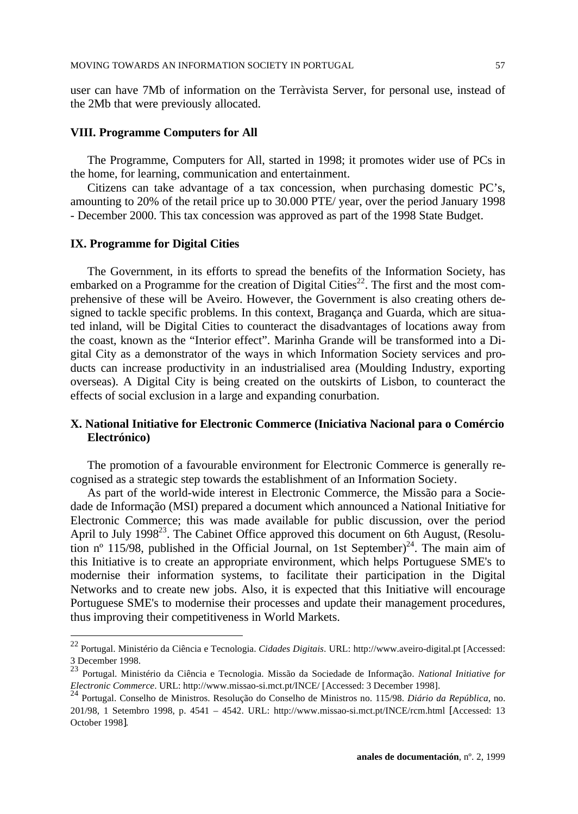user can have 7Mb of information on the Terràvista Server, for personal use, instead of the 2Mb that were previously allocated.

## **VIII. Programme Computers for All**

The Programme, Computers for All, started in 1998; it promotes wider use of PCs in the home, for learning, communication and entertainment.

Citizens can take advantage of a tax concession, when purchasing domestic PC's, amounting to 20% of the retail price up to 30.000 PTE/ year, over the period January 1998 - December 2000. This tax concession was approved as part of the 1998 State Budget.

#### **IX. Programme for Digital Cities**

-

The Government, in its efforts to spread the benefits of the Information Society, has embarked on a Programme for the creation of Digital Cities<sup>22</sup>. The first and the most comprehensive of these will be Aveiro. However, the Government is also creating others designed to tackle specific problems. In this context, Bragança and Guarda, which are situated inland, will be Digital Cities to counteract the disadvantages of locations away from the coast, known as the "Interior effect". Marinha Grande will be transformed into a Digital City as a demonstrator of the ways in which Information Society services and products can increase productivity in an industrialised area (Moulding Industry, exporting overseas). A Digital City is being created on the outskirts of Lisbon, to counteract the effects of social exclusion in a large and expanding conurbation.

# **X. National Initiative for Electronic Commerce (Iniciativa Nacional para o Comércio Electrónico)**

The promotion of a favourable environment for Electronic Commerce is generally recognised as a strategic step towards the establishment of an Information Society.

As part of the world-wide interest in Electronic Commerce, the Missão para a Sociedade de Informação (MSI) prepared a document which announced a National Initiative for Electronic Commerce; this was made available for public discussion, over the period April to July 1998<sup>23</sup>. The Cabinet Office approved this document on 6th August, (Resolution nº 115/98, published in the Official Journal, on 1st September)<sup>24</sup>. The main aim of this Initiative is to create an appropriate environment, which helps Portuguese SME's to modernise their information systems, to facilitate their participation in the Digital Networks and to create new jobs. Also, it is expected that this Initiative will encourage Portuguese SME's to modernise their processes and update their management procedures, thus improving their competitiveness in World Markets.

<sup>22</sup> Portugal. Ministério da Ciência e Tecnologia. *Cidades Digitais*. URL: http://www.aveiro-digital.pt [Accessed: 3 December 1998.

<sup>23</sup> Portugal. Ministério da Ciência e Tecnologia. Missão da Sociedade de Informação. *National Initiative for Electronic Commerce*. URL: http://www.missao-si.mct.pt/INCE/ [Accessed: 3 December 1998].

<sup>24</sup> Portugal. Conselho de Ministros. Resolução do Conselho de Ministros no. 115/98. *Diário da República*, no. 201/98, 1 Setembro 1998, p. 4541 – 4542. URL: http://www.missao-si.mct.pt/INCE/rcm.html [Accessed: 13 October 1998].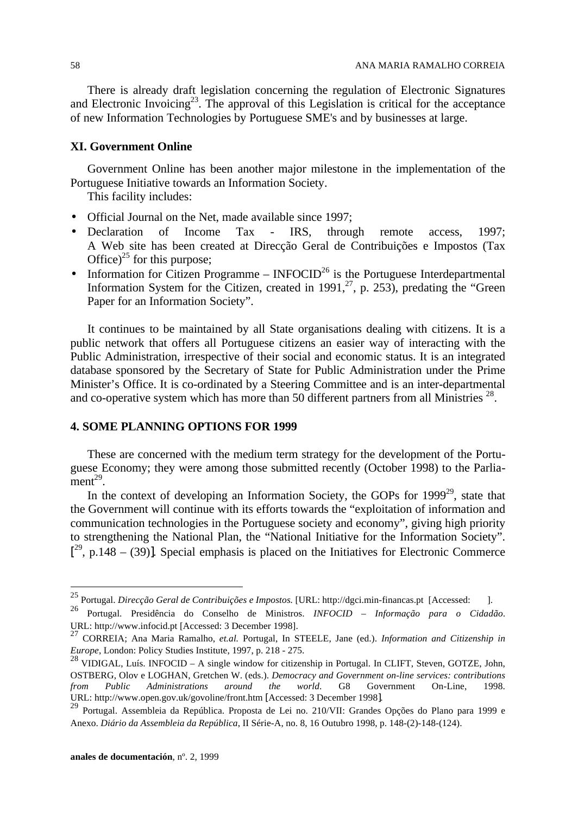There is already draft legislation concerning the regulation of Electronic Signatures and Electronic Invoicing<sup>23</sup>. The approval of this Legislation is critical for the acceptance of new Information Technologies by Portuguese SME's and by businesses at large.

# **XI. Government Online**

Government Online has been another major milestone in the implementation of the Portuguese Initiative towards an Information Society.

This facility includes:

- Official Journal on the Net, made available since 1997;
- Declaration of Income Tax IRS, through remote access, 1997; A Web site has been created at Direcção Geral de Contribuições e Impostos (Tax Office) $^{25}$  for this purpose;
- Information for Citizen Programme  $INFOCID<sup>26</sup>$  is the Portuguese Interdepartmental Information System for the Citizen, created in 1991,<sup>27</sup>, p. 253), predating the "Green Paper for an Information Society".

It continues to be maintained by all State organisations dealing with citizens. It is a public network that offers all Portuguese citizens an easier way of interacting with the Public Administration, irrespective of their social and economic status. It is an integrated database sponsored by the Secretary of State for Public Administration under the Prime Minister's Office. It is co-ordinated by a Steering Committee and is an inter-departmental and co-operative system which has more than 50 different partners from all Ministries<sup>28</sup>.

# **4. SOME PLANNING OPTIONS FOR 1999**

These are concerned with the medium term strategy for the development of the Portuguese Economy; they were among those submitted recently (October 1998) to the Parlia $ment^{29}$ .

In the context of developing an Information Society, the GOPs for  $1999^{29}$ , state that the Government will continue with its efforts towards the "exploitation of information and communication technologies in the Portuguese society and economy", giving high priority to strengthening the National Plan, the "National Initiative for the Information Society".  $[2^9, p.148 - (39)]$ . Special emphasis is placed on the Initiatives for Electronic Commerce

l

<sup>&</sup>lt;sup>25</sup> Portugal. *Direcção Geral de Contribuições e Impostos*. [URL: http://dgci.min-financas.pt [Accessed: ].

<sup>26</sup> Portugal. Presidência do Conselho de Ministros. *INFOCID – Informação para o Cidadão*. URL: http://www.infocid.pt [Accessed: 3 December 1998].

<sup>27</sup> CORREIA; Ana Maria Ramalho, *et.al.* Portugal, In STEELE, Jane (ed.). *Information and Citizenship in Europe*, London: Policy Studies Institute, 1997, p. 218 - 275.

 $^{28}$  VIDIGAL, Luís. INFOCID – A single window for citizenship in Portugal. In CLIFT, Steven, GOTZE, John, OSTBERG, Olov e LOGHAN, Gretchen W. (eds.). *Democracy and Government on-line services: contributions from Public Administrations around the world*. G8 Government On-Line, URL: http://www.open.gov.uk/govoline/front.htm [Accessed: 3 December 1998].

<sup>&</sup>lt;sup>29</sup> Portugal. Assembleia da República. Proposta de Lei no. 210/VII: Grandes Opções do Plano para 1999 e Anexo. *Diário da Assembleia da República*, II Série-A, no. 8, 16 Outubro 1998, p. 148-(2)-148-(124).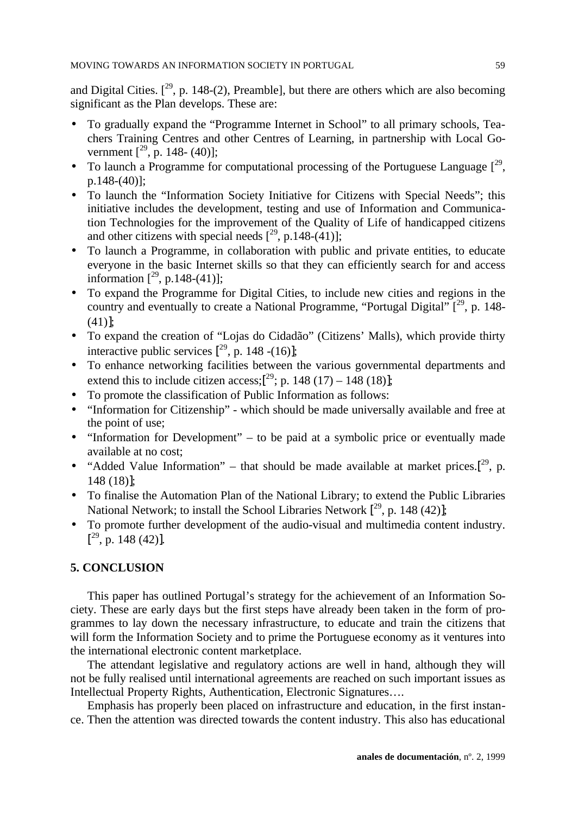and Digital Cities.  $[2^9, p. 148-(2),$  Preamble], but there are others which are also becoming significant as the Plan develops. These are:

- To gradually expand the "Programme Internet in School" to all primary schools, Teachers Training Centres and other Centres of Learning, in partnership with Local Government  $[^{29}$ , p. 148- (40)];
- To launch a Programme for computational processing of the Portuguese Language  $[2^9,$ p.148-(40)];
- To launch the "Information Society Initiative for Citizens with Special Needs"; this initiative includes the development, testing and use of Information and Communication Technologies for the improvement of the Quality of Life of handicapped citizens and other citizens with special needs  $[^{29}$ , p.148-(41)];
- To launch a Programme, in collaboration with public and private entities, to educate everyone in the basic Internet skills so that they can efficiently search for and access information  $[^{29}$ , p.148-(41)];
- To expand the Programme for Digital Cities, to include new cities and regions in the country and eventually to create a National Programme, "Portugal Digital"  $\int_1^{29}$ , p. 148-(41)];
- To expand the creation of "Lojas do Cidadão" (Citizens' Malls), which provide thirty interactive public services  $[2^9, p. 148 - (16)]$ ;
- To enhance networking facilities between the various governmental departments and extend this to include citizen access;[ $^{29}$ ; p. 148 (17) – 148 (18)];
- To promote the classification of Public Information as follows:
- "Information for Citizenship" which should be made universally available and free at the point of use;
- "Information for Development" to be paid at a symbolic price or eventually made available at no cost;
- "Added Value Information" that should be made available at market prices.<sup>[29</sup>, p. 148 (18)];
- To finalise the Automation Plan of the National Library; to extend the Public Libraries National Network; to install the School Libraries Network  $[2^9, p. 148 (42)]$ ;
- To promote further development of the audio-visual and multimedia content industry.  $[^{29}$ , p. 148 (42)].

# **5. CONCLUSION**

This paper has outlined Portugal's strategy for the achievement of an Information Society. These are early days but the first steps have already been taken in the form of programmes to lay down the necessary infrastructure, to educate and train the citizens that will form the Information Society and to prime the Portuguese economy as it ventures into the international electronic content marketplace.

The attendant legislative and regulatory actions are well in hand, although they will not be fully realised until international agreements are reached on such important issues as Intellectual Property Rights, Authentication, Electronic Signatures….

Emphasis has properly been placed on infrastructure and education, in the first instance. Then the attention was directed towards the content industry. This also has educational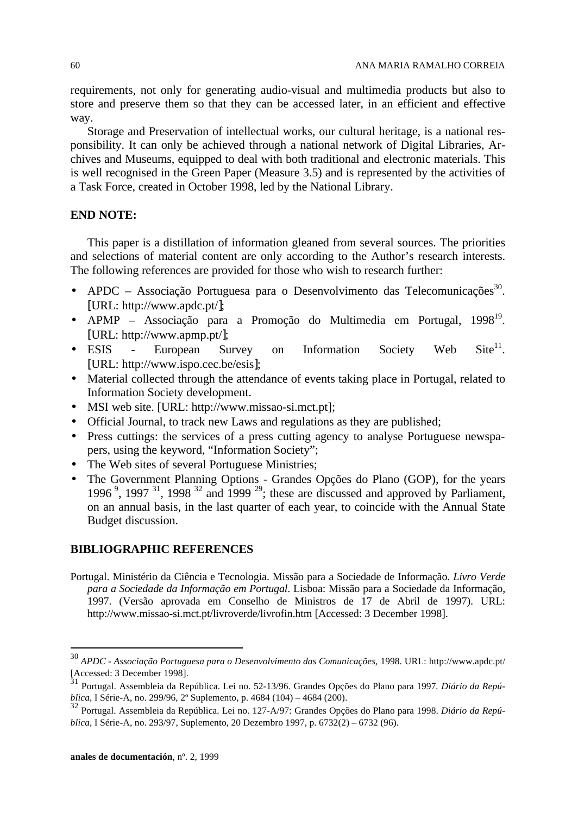requirements, not only for generating audio-visual and multimedia products but also to store and preserve them so that they can be accessed later, in an efficient and effective way.

Storage and Preservation of intellectual works, our cultural heritage, is a national responsibility. It can only be achieved through a national network of Digital Libraries, Archives and Museums, equipped to deal with both traditional and electronic materials. This is well recognised in the Green Paper (Measure 3.5) and is represented by the activities of a Task Force, created in October 1998, led by the National Library.

# **END NOTE:**

This paper is a distillation of information gleaned from several sources. The priorities and selections of material content are only according to the Author's research interests. The following references are provided for those who wish to research further:

- APDC Associação Portuguesa para o Desenvolvimento das Telecomunicações<sup>30</sup>. [URL: http://www.apdc.pt/];
- · APMP Associação para a Promoção do Multimedia em Portugal, 1998<sup>19</sup>. [URL: http://www.apmp.pt/];
- ESIS European Survey on Information Society Web  $\text{Site}^{11}$ . [URL: http://www.ispo.cec.be/esis];
- Material collected through the attendance of events taking place in Portugal, related to Information Society development.
- MSI web site. [URL: http://www.missao-si.mct.pt];
- Official Journal, to track new Laws and regulations as they are published;
- Press cuttings: the services of a press cutting agency to analyse Portuguese newspapers, using the keyword, "Information Society";
- The Web sites of several Portuguese Ministries;
- The Government Planning Options Grandes Opções do Plano (GOP), for the years 1996<sup>9</sup>, 1997<sup>31</sup>, 1998<sup>32</sup> and 1999<sup>29</sup>; these are discussed and approved by Parliament, on an annual basis, in the last quarter of each year, to coincide with the Annual State Budget discussion.

## **BIBLIOGRAPHIC REFERENCES**

Portugal. Ministério da Ciência e Tecnologia. Missão para a Sociedade de Informação. *Livro Verde para a Sociedade da Informação em Portugal*. Lisboa: Missão para a Sociedade da Informação, 1997. (Versão aprovada em Conselho de Ministros de 17 de Abril de 1997). URL: http://www.missao-si.mct.pt/livroverde/livrofin.htm [Accessed: 3 December 1998].

<sup>30</sup> *APDC - Associação Portuguesa para o Desenvolvimento das Comunicações,* 1998. URL: http://www.apdc.pt/ [Accessed: 3 December 1998].

<sup>31</sup> Portugal. Assembleia da República. Lei no. 52-13/96. Grandes Opções do Plano para 1997*. Diário da República*, I Série-A, no. 299/96, 2º Suplemento, p. 4684 (104) – 4684 (200).

<sup>32</sup> Portugal. Assembleia da República. Lei no. 127-A/97: Grandes Opções do Plano para 1998. *Diário da República*, I Série-A, no. 293/97, Suplemento, 20 Dezembro 1997, p. 6732(2) – 6732 (96).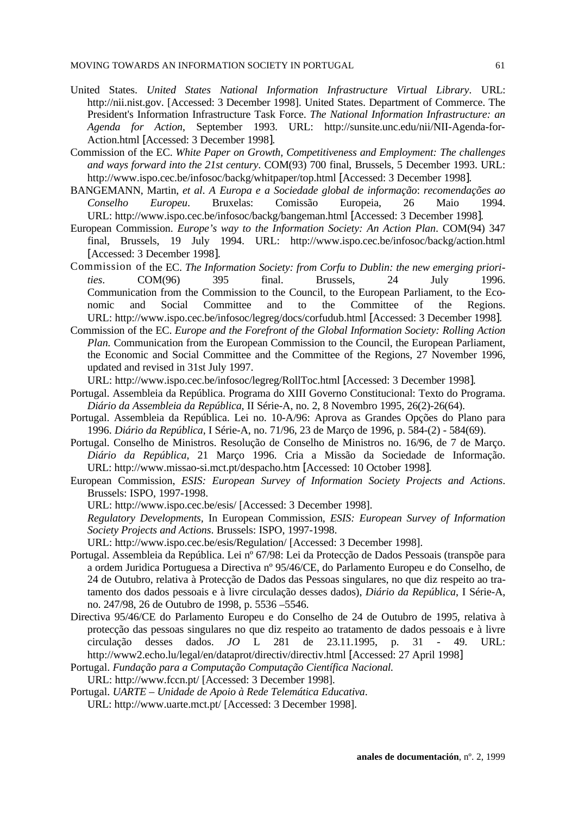- United States. *United States National Information Infrastructure Virtual Library*. URL: http://nii.nist.gov. [Accessed: 3 December 1998]. United States. Department of Commerce. The President's Information Infrastructure Task Force. *The National Information Infrastructure: an Agenda for Action*, September 1993. URL: http://sunsite.unc.edu/nii/NII-Agenda-for-Action.html [Accessed: 3 December 1998].
- Commission of the EC. *White Paper on Growth, Competitiveness and Employment: The challenges and ways forward into the 21st century*. COM(93) 700 final, Brussels, 5 December 1993. URL: http://www.ispo.cec.be/infosoc/backg/whitpaper/top.html [Accessed: 3 December 1998].
- BANGEMANN, Martin, *et al*. *A Europa e a Sociedade global de informação*: *recomendações ao Conselho Europeu*. Bruxelas: Comissão Europeia, 26 Maio 1994. URL: http://www.ispo.cec.be/infosoc/backg/bangeman.html [Accessed: 3 December 1998].
- European Commission. *Europe's way to the Information Society: An Action Plan*. COM(94) 347 final, Brussels, 19 July 1994. URL: http://www.ispo.cec.be/infosoc/backg/action.html [Accessed: 3 December 1998].
- Commission of the EC. *The Information Society: from Corfu to Dublin: the new emerging priorities*. COM(96) 395 final. Brussels, 24 July 1996. Communication from the Commission to the Council, to the European Parliament, to the Economic and Social Committee and to the Committee of the Regions. URL: http://www.ispo.cec.be/infosoc/legreg/docs/corfudub.html [Accessed: 3 December 1998].
- Commission of the EC. *Europe and the Forefront of the Global Information Society: Rolling Action Plan.* Communication from the European Commission to the Council, the European Parliament, the Economic and Social Committee and the Committee of the Regions, 27 November 1996, updated and revised in 31st July 1997.

URL: http://www.ispo.cec.be/infosoc/legreg/RollToc.html [Accessed: 3 December 1998].

- Portugal. Assembleia da República. Programa do XIII Governo Constitucional: Texto do Programa. *Diário da Assembleia da República*, II Série-A, no. 2, 8 Novembro 1995, 26(2)-26(64).
- Portugal. Assembleia da República. Lei no. 10-A/96: Aprova as Grandes Opções do Plano para 1996. *Diário da República*, I Série-A, no. 71/96, 23 de Março de 1996, p. 584-(2) - 584(69).
- Portugal. Conselho de Ministros. Resolução de Conselho de Ministros no. 16/96, de 7 de Março. *Diário da República*, 21 Março 1996. Cria a Missão da Sociedade de Informação. URL: http://www.missao-si.mct.pt/despacho.htm [Accessed: 10 October 1998].
- European Commission, *ESIS: European Survey of Information Society Projects and Actions*. Brussels: ISPO, 1997-1998.
	- URL: http://www.ispo.cec.be/esis/ [Accessed: 3 December 1998].

*Regulatory Developments,* In European Commission, *ESIS: European Survey of Information Society Projects and Actions*. Brussels: ISPO, 1997-1998.

URL: http://www.ispo.cec.be/esis/Regulation/ [Accessed: 3 December 1998].

- Portugal. Assembleia da República. Lei nº 67/98: Lei da Protecção de Dados Pessoais (transpõe para a ordem Juridica Portuguesa a Directiva nº 95/46/CE, do Parlamento Europeu e do Conselho, de 24 de Outubro, relativa à Protecção de Dados das Pessoas singulares, no que diz respeito ao tratamento dos dados pessoais e à livre circulação desses dados), *Diário da República*, I Série-A, no. 247/98, 26 de Outubro de 1998, p. 5536 –5546.
- Directiva 95/46/CE do Parlamento Europeu e do Conselho de 24 de Outubro de 1995, relativa à protecção das pessoas singulares no que diz respeito ao tratamento de dados pessoais e à livre circulação desses dados. *JO* L 281 de 23.11.1995, p. 31 - 49. URL: http://www2.echo.lu/legal/en/dataprot/directiv/directiv.html [Accessed: 27 April 1998]
- Portugal. *Fundação para a Computação Computação Científica Nacional.* URL: http://www.fccn.pt/ [Accessed: 3 December 1998].
- Portugal. *UARTE Unidade de Apoio à Rede Telemática Educativa*. URL: http://www.uarte.mct.pt/ [Accessed: 3 December 1998].